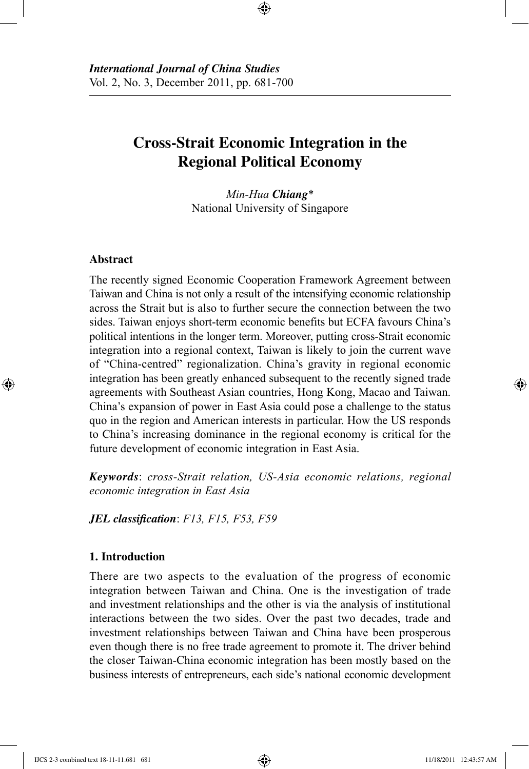# **Cross-Strait Economic Integration in the Regional Political Economy**

⊕

*Min-Hua Chiang*\* National University of Singapore

#### **Abstract**

⊕

The recently signed Economic Cooperation Framework Agreement between Taiwan and China is not only a result of the intensifying economic relationship across the Strait but is also to further secure the connection between the two sides. Taiwan enjoys short-term economic benefits but ECFA favours China's political intentions in the longer term. Moreover, putting cross-Strait economic integration into a regional context, Taiwan is likely to join the current wave of "China-centred" regionalization. China's gravity in regional economic integration has been greatly enhanced subsequent to the recently signed trade agreements with Southeast Asian countries, Hong Kong, Macao and Taiwan. China's expansion of power in East Asia could pose a challenge to the status quo in the region and American interests in particular. How the US responds to China's increasing dominance in the regional economy is critical for the future development of economic integration in East Asia.

*Keywords*: *cross-Strait relation, US-Asia economic relations, regional economic integration in East Asia*

*JEL classification*: *F13, F15, F53, F59*

#### **1. Introduction**

There are two aspects to the evaluation of the progress of economic integration between Taiwan and China. One is the investigation of trade and investment relationships and the other is via the analysis of institutional interactions between the two sides. Over the past two decades, trade and investment relationships between Taiwan and China have been prosperous even though there is no free trade agreement to promote it. The driver behind the closer Taiwan-China economic integration has been mostly based on the business interests of entrepreneurs, each side's national economic development

IJCS 2-3 combined text 18-11-11.681 681 11/18/2011 12:43:57 AM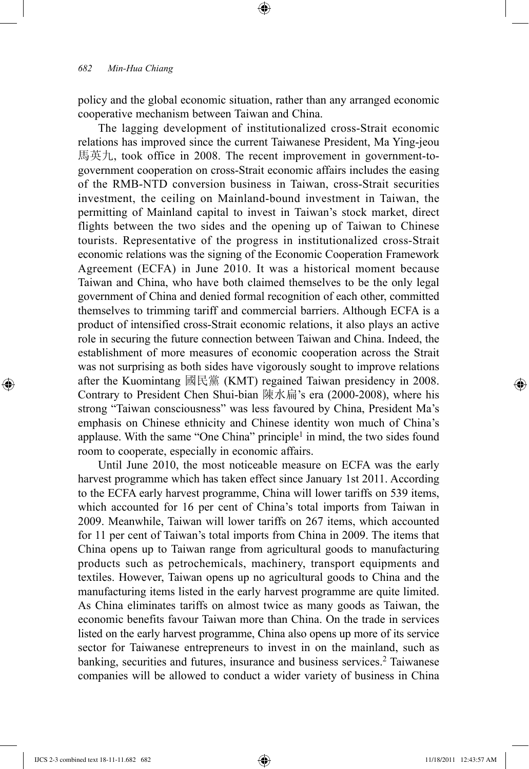policy and the global economic situation, rather than any arranged economic cooperative mechanism between Taiwan and China.

⊕

The lagging development of institutionalized cross-Strait economic relations has improved since the current Taiwanese President, Ma Ying-jeou 馬英九, took office in 2008. The recent improvement in government-togovernment cooperation on cross-Strait economic affairs includes the easing of the RMB-NTD conversion business in Taiwan, cross-Strait securities investment, the ceiling on Mainland-bound investment in Taiwan, the permitting of Mainland capital to invest in Taiwan's stock market, direct flights between the two sides and the opening up of Taiwan to Chinese tourists. Representative of the progress in institutionalized cross-Strait economic relations was the signing of the Economic Cooperation Framework Agreement (ECFA) in June 2010. It was a historical moment because Taiwan and China, who have both claimed themselves to be the only legal government of China and denied formal recognition of each other, committed themselves to trimming tariff and commercial barriers. Although ECFA is a product of intensified cross-Strait economic relations, it also plays an active role in securing the future connection between Taiwan and China. Indeed, the establishment of more measures of economic cooperation across the Strait was not surprising as both sides have vigorously sought to improve relations after the Kuomintang 國民黨 (KMT) regained Taiwan presidency in 2008. Contrary to President Chen Shui-bian 陳水扁's era (2000-2008), where his strong "Taiwan consciousness" was less favoured by China, President Ma's emphasis on Chinese ethnicity and Chinese identity won much of China's applause. With the same "One China" principle<sup>1</sup> in mind, the two sides found room to cooperate, especially in economic affairs.

Until June 2010, the most noticeable measure on ECFA was the early harvest programme which has taken effect since January 1st 2011. According to the ECFA early harvest programme, China will lower tariffs on 539 items, which accounted for 16 per cent of China's total imports from Taiwan in 2009. Meanwhile, Taiwan will lower tariffs on 267 items, which accounted for 11 per cent of Taiwan's total imports from China in 2009. The items that China opens up to Taiwan range from agricultural goods to manufacturing products such as petrochemicals, machinery, transport equipments and textiles. However, Taiwan opens up no agricultural goods to China and the manufacturing items listed in the early harvest programme are quite limited. As China eliminates tariffs on almost twice as many goods as Taiwan, the economic benefits favour Taiwan more than China. On the trade in services listed on the early harvest programme, China also opens up more of its service sector for Taiwanese entrepreneurs to invest in on the mainland, such as banking, securities and futures, insurance and business services.<sup>2</sup> Taiwanese companies will be allowed to conduct a wider variety of business in China

⊕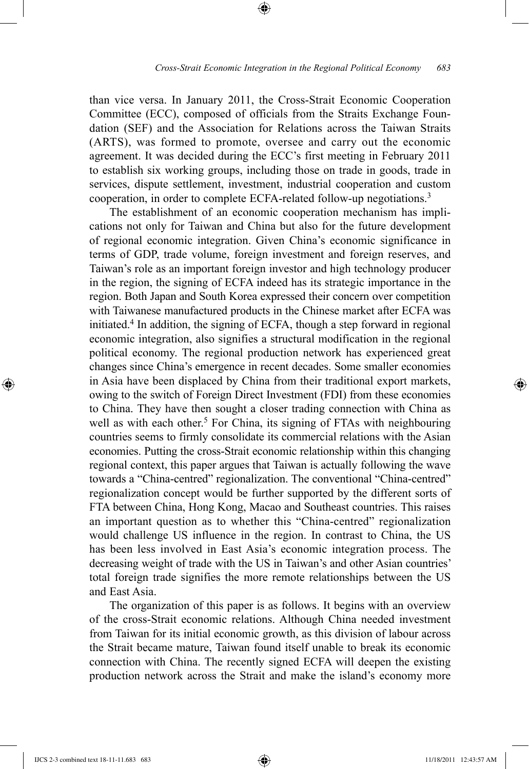than vice versa. In January 2011, the Cross-Strait Economic Cooperation Committee (ECC), composed of officials from the Straits Exchange Foundation (SEF) and the Association for Relations across the Taiwan Straits (ARTS), was formed to promote, oversee and carry out the economic agreement. It was decided during the ECC's first meeting in February 2011 to establish six working groups, including those on trade in goods, trade in services, dispute settlement, investment, industrial cooperation and custom cooperation, in order to complete ECFA-related follow-up negotiations.3

⊕

The establishment of an economic cooperation mechanism has implications not only for Taiwan and China but also for the future development of regional economic integration. Given China's economic significance in terms of GDP, trade volume, foreign investment and foreign reserves, and Taiwan's role as an important foreign investor and high technology producer in the region, the signing of ECFA indeed has its strategic importance in the region. Both Japan and South Korea expressed their concern over competition with Taiwanese manufactured products in the Chinese market after ECFA was initiated.4 In addition, the signing of ECFA, though a step forward in regional economic integration, also signifies a structural modification in the regional political economy. The regional production network has experienced great changes since China's emergence in recent decades. Some smaller economies in Asia have been displaced by China from their traditional export markets, owing to the switch of Foreign Direct Investment (FDI) from these economies to China. They have then sought a closer trading connection with China as well as with each other.<sup>5</sup> For China, its signing of FTAs with neighbouring countries seems to firmly consolidate its commercial relations with the Asian economies. Putting the cross-Strait economic relationship within this changing regional context, this paper argues that Taiwan is actually following the wave towards a "China-centred" regionalization. The conventional "China-centred" regionalization concept would be further supported by the different sorts of FTA between China, Hong Kong, Macao and Southeast countries. This raises an important question as to whether this "China-centred" regionalization would challenge US influence in the region. In contrast to China, the US has been less involved in East Asia's economic integration process. The decreasing weight of trade with the US in Taiwan's and other Asian countries' total foreign trade signifies the more remote relationships between the US and East Asia.

The organization of this paper is as follows. It begins with an overview of the cross-Strait economic relations. Although China needed investment from Taiwan for its initial economic growth, as this division of labour across the Strait became mature, Taiwan found itself unable to break its economic connection with China. The recently signed ECFA will deepen the existing production network across the Strait and make the island's economy more

⊕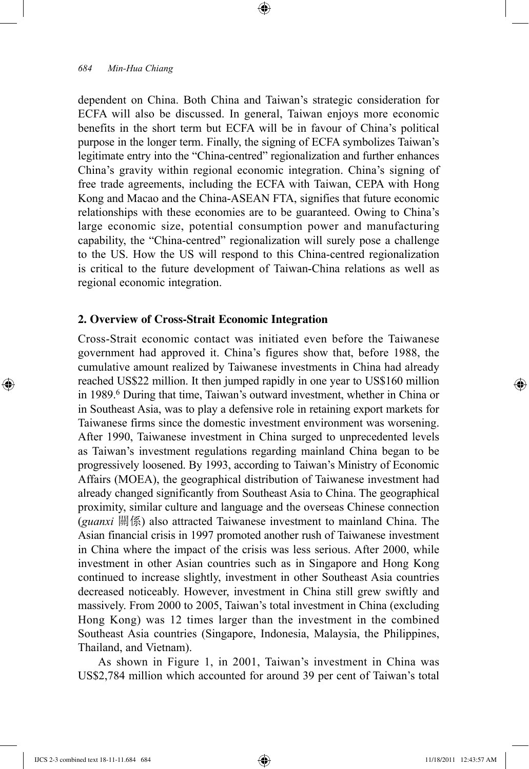dependent on China. Both China and Taiwan's strategic consideration for ECFA will also be discussed. In general, Taiwan enjoys more economic benefits in the short term but ECFA will be in favour of China's political purpose in the longer term. Finally, the signing of ECFA symbolizes Taiwan's legitimate entry into the "China-centred" regionalization and further enhances China's gravity within regional economic integration. China's signing of free trade agreements, including the ECFA with Taiwan, CEPA with Hong Kong and Macao and the China-ASEAN FTA, signifies that future economic relationships with these economies are to be guaranteed. Owing to China's large economic size, potential consumption power and manufacturing capability, the "China-centred" regionalization will surely pose a challenge to the US. How the US will respond to this China-centred regionalization is critical to the future development of Taiwan-China relations as well as regional economic integration.

⊕

#### **2. Overview of Cross-Strait Economic Integration**

Cross-Strait economic contact was initiated even before the Taiwanese government had approved it. China's figures show that, before 1988, the cumulative amount realized by Taiwanese investments in China had already reached US\$22 million. It then jumped rapidly in one year to US\$160 million in 1989.6 During that time, Taiwan's outward investment, whether in China or in Southeast Asia, was to play a defensive role in retaining export markets for Taiwanese firms since the domestic investment environment was worsening. After 1990, Taiwanese investment in China surged to unprecedented levels as Taiwan's investment regulations regarding mainland China began to be progressively loosened. By 1993, according to Taiwan's Ministry of Economic Affairs (MOEA), the geographical distribution of Taiwanese investment had already changed significantly from Southeast Asia to China. The geographical proximity, similar culture and language and the overseas Chinese connection (*guanxi* 關係) also attracted Taiwanese investment to mainland China. The Asian financial crisis in 1997 promoted another rush of Taiwanese investment in China where the impact of the crisis was less serious. After 2000, while investment in other Asian countries such as in Singapore and Hong Kong continued to increase slightly, investment in other Southeast Asia countries decreased noticeably. However, investment in China still grew swiftly and massively. From 2000 to 2005, Taiwan's total investment in China (excluding Hong Kong) was 12 times larger than the investment in the combined Southeast Asia countries (Singapore, Indonesia, Malaysia, the Philippines, Thailand, and Vietnam).

As shown in Figure 1, in 2001, Taiwan's investment in China was US\$2,784 million which accounted for around 39 per cent of Taiwan's total

IJCS 2-3 combined text 18-11-11.684 684 11/18/2011 12:43:57 AM

⊕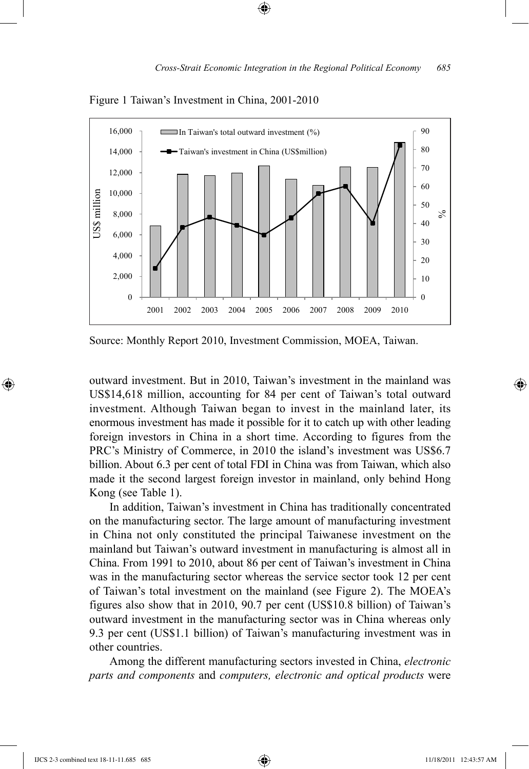

Figure 1 Taiwan's Investment in China, 2001-2010

Source: Monthly Report 2010, Investment Commission, MOEA, Taiwan.

outward investment. But in 2010, Taiwan's investment in the mainland was US\$14,618 million, accounting for 84 per cent of Taiwan's total outward investment. Although Taiwan began to invest in the mainland later, its enormous investment has made it possible for it to catch up with other leading foreign investors in China in a short time. According to figures from the PRC's Ministry of Commerce, in 2010 the island's investment was US\$6.7 billion. About 6.3 per cent of total FDI in China was from Taiwan, which also made it the second largest foreign investor in mainland, only behind Hong Kong (see Table 1).

In addition, Taiwan's investment in China has traditionally concentrated on the manufacturing sector. The large amount of manufacturing investment in China not only constituted the principal Taiwanese investment on the mainland but Taiwan's outward investment in manufacturing is almost all in China. From 1991 to 2010, about 86 per cent of Taiwan's investment in China was in the manufacturing sector whereas the service sector took 12 per cent of Taiwan's total investment on the mainland (see Figure 2). The MOEA's figures also show that in 2010, 90.7 per cent (US\$10.8 billion) of Taiwan's outward investment in the manufacturing sector was in China whereas only 9.3 per cent (US\$1.1 billion) of Taiwan's manufacturing investment was in other countries.

Among the different manufacturing sectors invested in China, *electronic parts and components* and *computers, electronic and optical products* were

⊕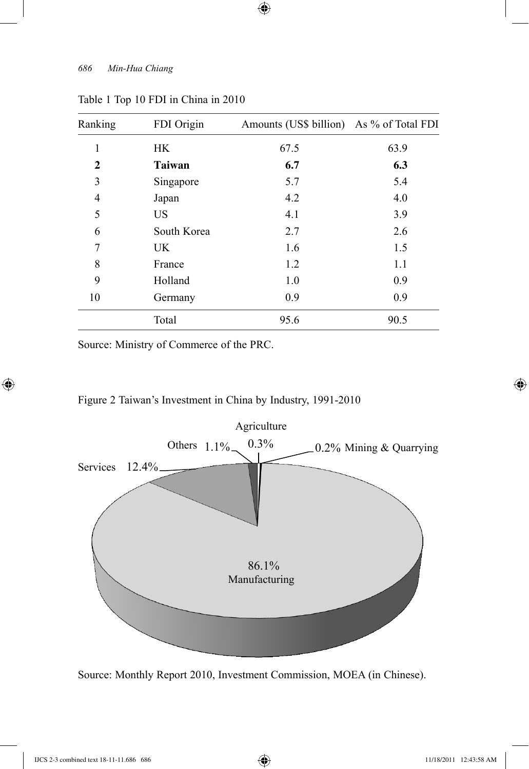| Ranking      | FDI Origin    | Amounts (US\$ billion) As % of Total FDI |      |
|--------------|---------------|------------------------------------------|------|
| 1            | <b>HK</b>     | 67.5                                     | 63.9 |
| $\mathbf{2}$ | <b>Taiwan</b> | 6.7                                      | 6.3  |
| 3            | Singapore     | 5.7                                      | 5.4  |
| 4            | Japan         | 4.2                                      | 4.0  |
| 5            | US            | 4.1                                      | 3.9  |
| 6            | South Korea   | 2.7                                      | 2.6  |
| 7            | UK            | 1.6                                      | 1.5  |
| 8            | France        | 1.2                                      | 1.1  |
| 9            | Holland       | 1.0                                      | 0.9  |
| 10           | Germany       | 0.9                                      | 0.9  |
|              | Total         | 95.6                                     | 90.5 |

 $\bigoplus$ 

# Table 1 Top 10 FDI in China in 2010

Source: Ministry of Commerce of the PRC.

# Figure 2 Taiwan's Investment in China by Industry, 1991-2010



Source: Monthly Report 2010, Investment Commission, MOEA (in Chinese).

 $\bigoplus$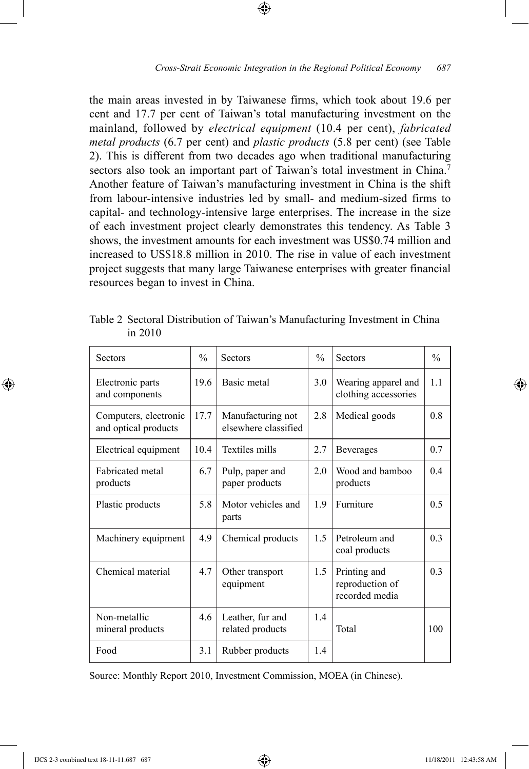the main areas invested in by Taiwanese firms, which took about 19.6 per cent and 17.7 per cent of Taiwan's total manufacturing investment on the mainland, followed by *electrical equipment* (10.4 per cent), *fabricated metal products* (6.7 per cent) and *plastic products* (5.8 per cent) (see Table 2). This is different from two decades ago when traditional manufacturing sectors also took an important part of Taiwan's total investment in China.<sup>7</sup> Another feature of Taiwan's manufacturing investment in China is the shift from labour-intensive industries led by small- and medium-sized firms to capital- and technology-intensive large enterprises. The increase in the size of each investment project clearly demonstrates this tendency. As Table 3 shows, the investment amounts for each investment was US\$0.74 million and increased to US\$18.8 million in 2010. The rise in value of each investment project suggests that many large Taiwanese enterprises with greater financial resources began to invest in China.

⊕

Table 2 Sectoral Distribution of Taiwan's Manufacturing Investment in China in 2010

| Sectors                                       | $\frac{0}{0}$ | <b>Sectors</b>                            | $\frac{0}{0}$ | <b>Sectors</b>                                    | $\frac{0}{0}$  |
|-----------------------------------------------|---------------|-------------------------------------------|---------------|---------------------------------------------------|----------------|
| Electronic parts<br>and components            | 19.6          | Basic metal                               | 3.0           | Wearing apparel and<br>clothing accessories       | 1 <sub>1</sub> |
| Computers, electronic<br>and optical products | 17.7          | Manufacturing not<br>elsewhere classified | 2.8           | Medical goods                                     | 0.8            |
| Electrical equipment                          | 104           | Textiles mills                            | 2.7           | <b>Beverages</b>                                  | 0.7            |
| <b>Fabricated</b> metal<br>products           | 6.7           | Pulp, paper and<br>paper products         | 2.0           | Wood and bamboo<br>products                       | 0.4            |
| Plastic products                              | 5.8           | Motor vehicles and<br>parts               | 1.9           | Furniture                                         | 0.5            |
| Machinery equipment                           | 4.9           | Chemical products                         | 1.5           | Petroleum and<br>coal products                    | 0.3            |
| Chemical material                             | 4.7           | Other transport<br>equipment              | 1.5           | Printing and<br>reproduction of<br>recorded media | 0.3            |
| Non-metallic<br>mineral products              | 4.6           | Leather, fur and<br>related products      | 1.4           | Total                                             | 100            |
| Food                                          | 3.1           | Rubber products                           | 14            |                                                   |                |

Source: Monthly Report 2010, Investment Commission, MOEA (in Chinese).

⊕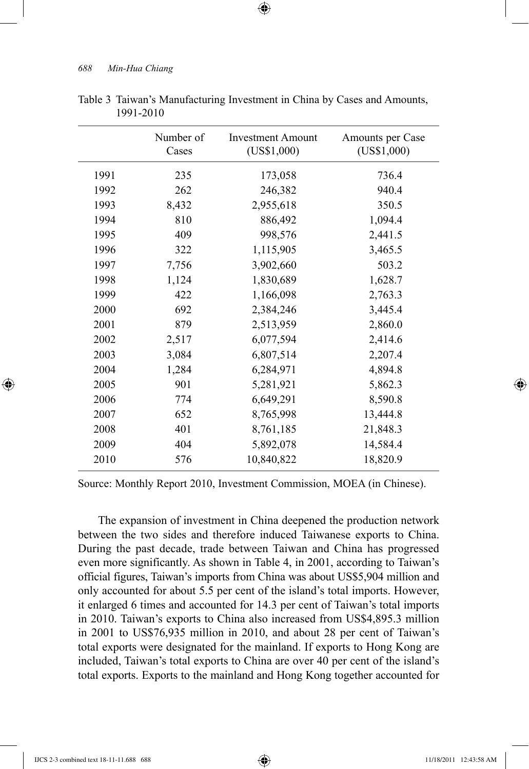|      | Number of<br>Cases | <b>Investment Amount</b><br>(US\$1,000) | Amounts per Case<br>(US\$1,000) |
|------|--------------------|-----------------------------------------|---------------------------------|
| 1991 | 235                | 173,058                                 | 736.4                           |
| 1992 | 262                | 246,382                                 | 940.4                           |
| 1993 | 8,432              | 2,955,618                               | 350.5                           |
| 1994 | 810                | 886,492                                 | 1,094.4                         |
| 1995 | 409                | 998,576                                 | 2,441.5                         |
| 1996 | 322                | 1,115,905                               | 3,465.5                         |
| 1997 | 7,756              | 3,902,660                               | 503.2                           |
| 1998 | 1,124              | 1,830,689                               | 1,628.7                         |
| 1999 | 422                | 1,166,098                               | 2,763.3                         |
| 2000 | 692                | 2,384,246                               | 3,445.4                         |
| 2001 | 879                | 2,513,959                               | 2,860.0                         |
| 2002 | 2,517              | 6,077,594                               | 2,414.6                         |
| 2003 | 3,084              | 6,807,514                               | 2,207.4                         |
| 2004 | 1,284              | 6,284,971                               | 4,894.8                         |
| 2005 | 901                | 5,281,921                               | 5,862.3                         |
| 2006 | 774                | 6,649,291                               | 8,590.8                         |
| 2007 | 652                | 8,765,998                               | 13,444.8                        |
| 2008 | 401                | 8,761,185                               | 21,848.3                        |
| 2009 | 404                | 5,892,078                               | 14,584.4                        |
| 2010 | 576                | 10,840,822                              | 18,820.9                        |

| Table 3 Taiwan's Manufacturing Investment in China by Cases and Amounts, |
|--------------------------------------------------------------------------|
| 1991-2010                                                                |

 $\textcircled{\scriptsize{+}}$ 

Source: Monthly Report 2010, Investment Commission, MOEA (in Chinese).

The expansion of investment in China deepened the production network between the two sides and therefore induced Taiwanese exports to China. During the past decade, trade between Taiwan and China has progressed even more significantly. As shown in Table 4, in 2001, according to Taiwan's official figures, Taiwan's imports from China was about US\$5,904 million and only accounted for about 5.5 per cent of the island's total imports. However, it enlarged 6 times and accounted for 14.3 per cent of Taiwan's total imports in 2010. Taiwan's exports to China also increased from US\$4,895.3 million in 2001 to US\$76,935 million in 2010, and about 28 per cent of Taiwan's total exports were designated for the mainland. If exports to Hong Kong are included, Taiwan's total exports to China are over 40 per cent of the island's total exports. Exports to the mainland and Hong Kong together accounted for

⊕

↔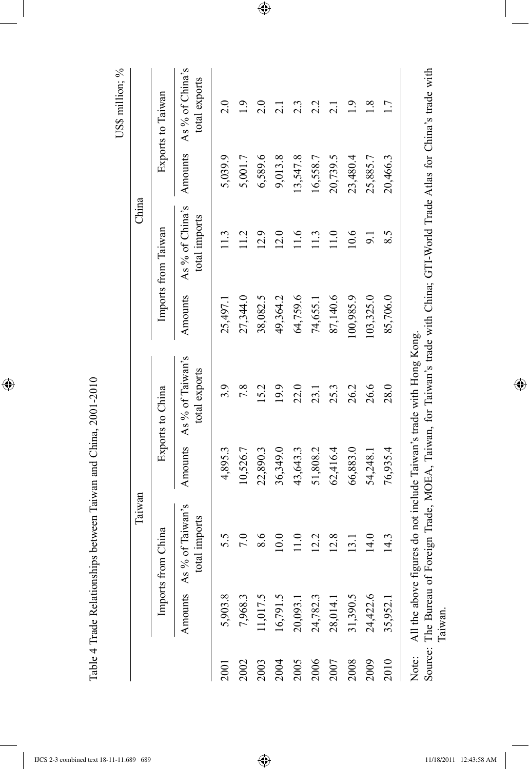| 2017<br>֧֧֧֧֧֦֧֧֦֧֦֧֦֧ׅ֧ׅ֧֧֧ׅ֧֧֧֪֧֚֚֚֚֚֚֚֚֚֚֚֚֚֚֚֚֚֚֚֚֚֚֚֚֚֚֚֚֚֚֝֟֓֝֟֓֝֓֓֜֓֜֓֝֬֝֬֜֓֝֬<br>ì                                                                                                                                                                           |
|----------------------------------------------------------------------------------------------------------------------------------------------------------------------------------------------------------------------------------------------------------------------|
|                                                                                                                                                                                                                                                                      |
|                                                                                                                                                                                                                                                                      |
|                                                                                                                                                                                                                                                                      |
|                                                                                                                                                                                                                                                                      |
| .<br>ק<br>I<br>- "Late" I put and the production of the contract of the contract of $\sim$ France of $\sim$ France of $\sim$ France of $\sim$ France of $\sim$ France of $\sim$ France of $\sim$ France of $\sim$ France of $\sim$ France of $\sim$ France of $\sim$ |
|                                                                                                                                                                                                                                                                      |
|                                                                                                                                                                                                                                                                      |
|                                                                                                                                                                                                                                                                      |
| $\frac{1}{2}$                                                                                                                                                                                                                                                        |
|                                                                                                                                                                                                                                                                      |
|                                                                                                                                                                                                                                                                      |
| $\frac{1}{2}$                                                                                                                                                                                                                                                        |
|                                                                                                                                                                                                                                                                      |
|                                                                                                                                                                                                                                                                      |
|                                                                                                                                                                                                                                                                      |
|                                                                                                                                                                                                                                                                      |
|                                                                                                                                                                                                                                                                      |
|                                                                                                                                                                                                                                                                      |
|                                                                                                                                                                                                                                                                      |
|                                                                                                                                                                                                                                                                      |
|                                                                                                                                                                                                                                                                      |
|                                                                                                                                                                                                                                                                      |
|                                                                                                                                                                                                                                                                      |
|                                                                                                                                                                                                                                                                      |
|                                                                                                                                                                                                                                                                      |
|                                                                                                                                                                                                                                                                      |
|                                                                                                                                                                                                                                                                      |
| $\frac{1}{2}$                                                                                                                                                                                                                                                        |
|                                                                                                                                                                                                                                                                      |
|                                                                                                                                                                                                                                                                      |
|                                                                                                                                                                                                                                                                      |
|                                                                                                                                                                                                                                                                      |
|                                                                                                                                                                                                                                                                      |
|                                                                                                                                                                                                                                                                      |
| $\frac{1}{3}$<br>.<br>F                                                                                                                                                                                                                                              |

 $\circ$ 

 $\bigoplus$ 

US\$ million;  $\%$ 

 $\overline{\phantom{a}}$ 

|             |                                   | Taiwan                                    |          |                                                                                                                                                                                |           | China                            |          |                                  |
|-------------|-----------------------------------|-------------------------------------------|----------|--------------------------------------------------------------------------------------------------------------------------------------------------------------------------------|-----------|----------------------------------|----------|----------------------------------|
|             |                                   | Imports from China                        |          | Exports to China                                                                                                                                                               |           | Imports from Taiwan              |          | Exports to Taiwan                |
|             |                                   | Amounts As % of Taiwan's<br>total imports | Amounts  | As % of Taiwan's<br>total exports                                                                                                                                              | Amounts   | As % of China's<br>total imports | Amounts  | As % of China's<br>total exports |
| <b>2001</b> | 5,903.8                           | 5.5                                       | 4,895.3  | 3.9                                                                                                                                                                            | 25,497.1  | $\frac{13}{2}$                   | 5,039.9  | 2.0                              |
| 2002        | 7,968.3                           | 7.0                                       | 10,526.7 | 7.8                                                                                                                                                                            | 27,344.0  | 11.2                             | 5,001.7  | $\frac{1}{2}$                    |
| 2003        | 11,017.5                          | 8.6                                       | 22,890.3 | 15.2                                                                                                                                                                           | 38,082.5  | 12.9                             | 6,589.6  | 2.0                              |
| 2004        | 16,791.5                          | 10.0                                      | 36,349.0 | 19.9                                                                                                                                                                           | 49,364.2  | 12.0                             | 9,013.8  | $\overline{2.1}$                 |
| 2005        | 20,093.1                          | $\frac{0}{110}$                           | 43,643.3 | 22.0                                                                                                                                                                           | 64,759.6  | 11.6                             | 13,547.8 | $2.\overline{3}$                 |
| 2006        | 24,782.3                          | 12.2                                      | 51,808.2 | 23.1                                                                                                                                                                           | 74,655.1  | 1.3                              | 16,558.7 | 2.2                              |
| 2007        | 28,014.1                          | 12.8                                      | 62,416.4 | 25.3                                                                                                                                                                           | 87,140.6  | $\frac{0}{11}$                   | 20,739.5 | $\overline{c}$                   |
| 2008        | 31,390.5                          | 13.1                                      | 66,883.0 | 26.2                                                                                                                                                                           | 100,985.9 | 10.6                             | 23,480.4 | 1.9                              |
| 2009        | 24,422.6                          | 14.0                                      | 54,248.1 | 26.6                                                                                                                                                                           | 103,325.0 | $\overline{5}$                   | 25,885.7 | $\frac{8}{10}$                   |
| 2010        | 35,952.1                          | 14.3                                      | 76,935.4 | 28.0                                                                                                                                                                           | 85,706.0  | 8.5                              | 20,466.3 | $\overline{1}$                   |
| Note:       | Source: The Bureau of F<br>Taiwan |                                           |          | oreign Trade, MOEA, Taiwan, for Taiwan's trade with China; GTI-World Trade Atlas for China's trade with<br>All the above figures do not include Taiwan's trade with Hong Kong. |           |                                  |          |                                  |

 $\bigoplus$ 

 $\bigoplus$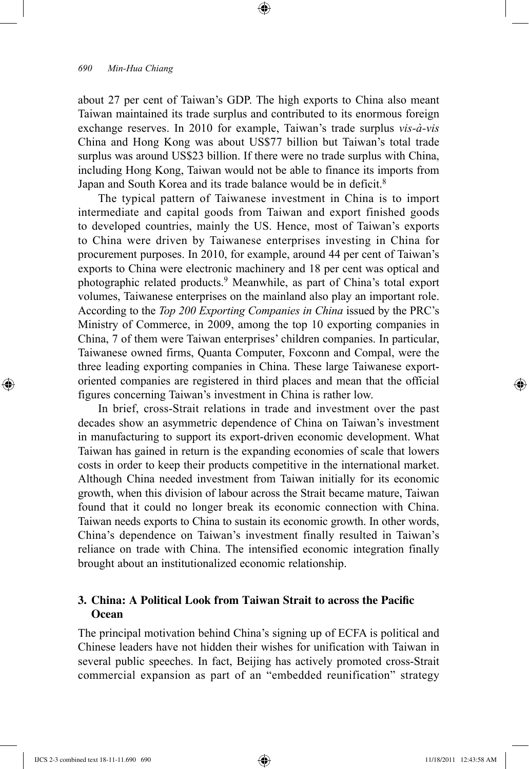about 27 per cent of Taiwan's GDP. The high exports to China also meant Taiwan maintained its trade surplus and contributed to its enormous foreign exchange reserves. In 2010 for example, Taiwan's trade surplus *vis-à-vis*  China and Hong Kong was about US\$77 billion but Taiwan's total trade surplus was around US\$23 billion. If there were no trade surplus with China, including Hong Kong, Taiwan would not be able to finance its imports from Japan and South Korea and its trade balance would be in deficit.<sup>8</sup>

⊕

The typical pattern of Taiwanese investment in China is to import intermediate and capital goods from Taiwan and export finished goods to developed countries, mainly the US. Hence, most of Taiwan's exports to China were driven by Taiwanese enterprises investing in China for procurement purposes. In 2010, for example, around 44 per cent of Taiwan's exports to China were electronic machinery and 18 per cent was optical and photographic related products.9 Meanwhile, as part of China's total export volumes, Taiwanese enterprises on the mainland also play an important role. According to the *Top 200 Exporting Companies in China* issued by the PRC's Ministry of Commerce, in 2009, among the top 10 exporting companies in China, 7 of them were Taiwan enterprises' children companies. In particular, Taiwanese owned firms, Quanta Computer, Foxconn and Compal, were the three leading exporting companies in China. These large Taiwanese exportoriented companies are registered in third places and mean that the official figures concerning Taiwan's investment in China is rather low.

In brief, cross-Strait relations in trade and investment over the past decades show an asymmetric dependence of China on Taiwan's investment in manufacturing to support its export-driven economic development. What Taiwan has gained in return is the expanding economies of scale that lowers costs in order to keep their products competitive in the international market. Although China needed investment from Taiwan initially for its economic growth, when this division of labour across the Strait became mature, Taiwan found that it could no longer break its economic connection with China. Taiwan needs exports to China to sustain its economic growth. In other words, China's dependence on Taiwan's investment finally resulted in Taiwan's reliance on trade with China. The intensified economic integration finally brought about an institutionalized economic relationship.

## **3. China: A Political Look from Taiwan Strait to across the Pacific Ocean**

The principal motivation behind China's signing up of ECFA is political and Chinese leaders have not hidden their wishes for unification with Taiwan in several public speeches. In fact, Beijing has actively promoted cross-Strait commercial expansion as part of an "embedded reunification" strategy

⊕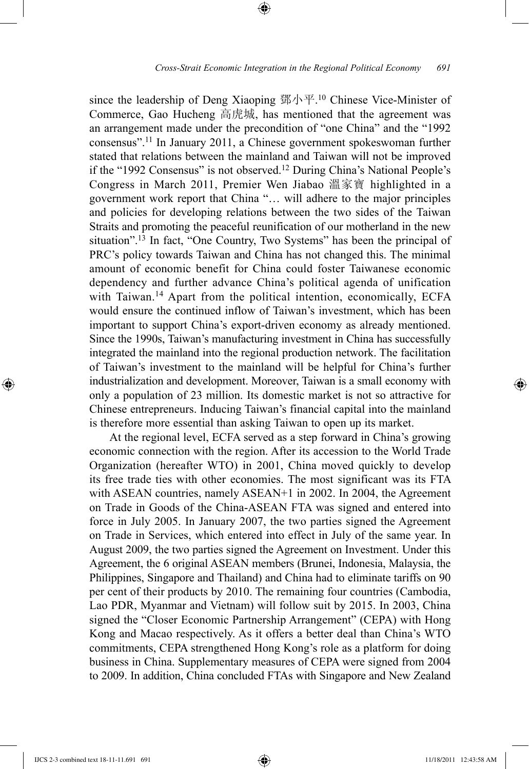since the leadership of Deng Xiaoping 鄧小平. <sup>10</sup> Chinese Vice-Minister of Commerce, Gao Hucheng 高虎城, has mentioned that the agreement was an arrangement made under the precondition of "one China" and the "1992 consensus".11 In January 2011, a Chinese government spokeswoman further stated that relations between the mainland and Taiwan will not be improved if the "1992 Consensus" is not observed.<sup>12</sup> During China's National People's Congress in March 2011, Premier Wen Jiabao 溫家寶 highlighted in a government work report that China "… will adhere to the major principles and policies for developing relations between the two sides of the Taiwan Straits and promoting the peaceful reunification of our motherland in the new situation".<sup>13</sup> In fact, "One Country, Two Systems" has been the principal of PRC's policy towards Taiwan and China has not changed this. The minimal amount of economic benefit for China could foster Taiwanese economic dependency and further advance China's political agenda of unification with Taiwan.14 Apart from the political intention, economically, ECFA would ensure the continued inflow of Taiwan's investment, which has been important to support China's export-driven economy as already mentioned. Since the 1990s, Taiwan's manufacturing investment in China has successfully integrated the mainland into the regional production network. The facilitation of Taiwan's investment to the mainland will be helpful for China's further industrialization and development. Moreover, Taiwan is a small economy with only a population of 23 million. Its domestic market is not so attractive for Chinese entrepreneurs. Inducing Taiwan's financial capital into the mainland is therefore more essential than asking Taiwan to open up its market.

At the regional level, ECFA served as a step forward in China's growing economic connection with the region. After its accession to the World Trade Organization (hereafter WTO) in 2001, China moved quickly to develop its free trade ties with other economies. The most significant was its FTA with ASEAN countries, namely ASEAN+1 in 2002. In 2004, the Agreement on Trade in Goods of the China-ASEAN FTA was signed and entered into force in July 2005. In January 2007, the two parties signed the Agreement on Trade in Services, which entered into effect in July of the same year. In August 2009, the two parties signed the Agreement on Investment. Under this Agreement, the 6 original ASEAN members (Brunei, Indonesia, Malaysia, the Philippines, Singapore and Thailand) and China had to eliminate tariffs on 90 per cent of their products by 2010. The remaining four countries (Cambodia, Lao PDR, Myanmar and Vietnam) will follow suit by 2015. In 2003, China signed the "Closer Economic Partnership Arrangement" (CEPA) with Hong Kong and Macao respectively. As it offers a better deal than China's WTO commitments, CEPA strengthened Hong Kong's role as a platform for doing business in China. Supplementary measures of CEPA were signed from 2004 to 2009. In addition, China concluded FTAs with Singapore and New Zealand

⊕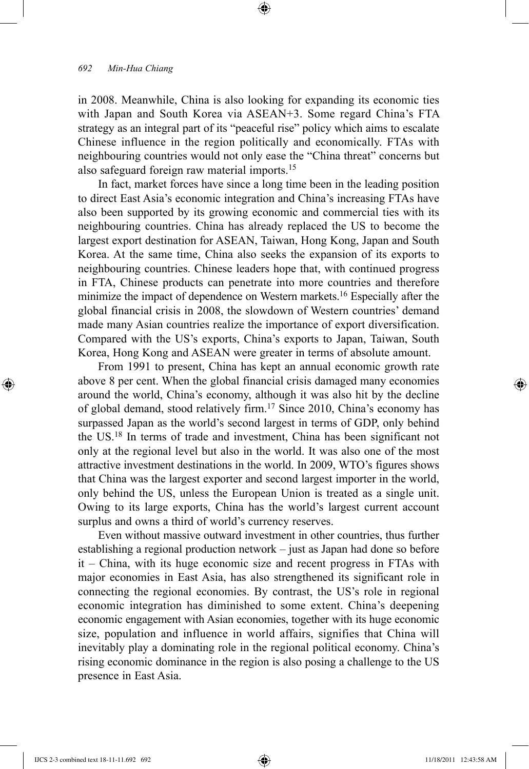in 2008. Meanwhile, China is also looking for expanding its economic ties with Japan and South Korea via ASEAN+3. Some regard China's FTA strategy as an integral part of its "peaceful rise" policy which aims to escalate Chinese influence in the region politically and economically. FTAs with neighbouring countries would not only ease the "China threat" concerns but also safeguard foreign raw material imports.15

⊕

In fact, market forces have since a long time been in the leading position to direct East Asia's economic integration and China's increasing FTAs have also been supported by its growing economic and commercial ties with its neighbouring countries. China has already replaced the US to become the largest export destination for ASEAN, Taiwan, Hong Kong, Japan and South Korea. At the same time, China also seeks the expansion of its exports to neighbouring countries. Chinese leaders hope that, with continued progress in FTA, Chinese products can penetrate into more countries and therefore minimize the impact of dependence on Western markets.<sup>16</sup> Especially after the global financial crisis in 2008, the slowdown of Western countries' demand made many Asian countries realize the importance of export diversification. Compared with the US's exports, China's exports to Japan, Taiwan, South Korea, Hong Kong and ASEAN were greater in terms of absolute amount.

From 1991 to present, China has kept an annual economic growth rate above 8 per cent. When the global financial crisis damaged many economies around the world, China's economy, although it was also hit by the decline of global demand, stood relatively firm.17 Since 2010, China's economy has surpassed Japan as the world's second largest in terms of GDP, only behind the US.18 In terms of trade and investment, China has been significant not only at the regional level but also in the world. It was also one of the most attractive investment destinations in the world. In 2009, WTO's figures shows that China was the largest exporter and second largest importer in the world, only behind the US, unless the European Union is treated as a single unit. Owing to its large exports, China has the world's largest current account surplus and owns a third of world's currency reserves.

Even without massive outward investment in other countries, thus further establishing a regional production network – just as Japan had done so before it – China, with its huge economic size and recent progress in FTAs with major economies in East Asia, has also strengthened its significant role in connecting the regional economies. By contrast, the US's role in regional economic integration has diminished to some extent. China's deepening economic engagement with Asian economies, together with its huge economic size, population and influence in world affairs, signifies that China will inevitably play a dominating role in the regional political economy. China's rising economic dominance in the region is also posing a challenge to the US presence in East Asia.

⊕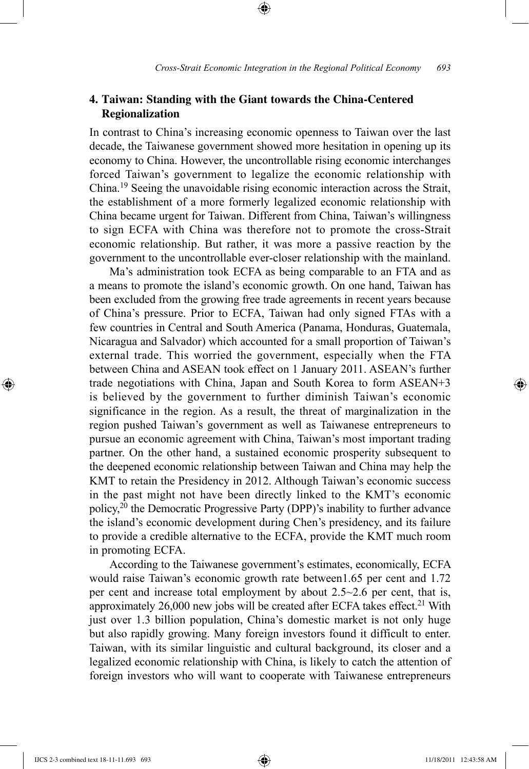# **4. Taiwan: Standing with the Giant towards the China-Centered Regionalization**

⊕

In contrast to China's increasing economic openness to Taiwan over the last decade, the Taiwanese government showed more hesitation in opening up its economy to China. However, the uncontrollable rising economic interchanges forced Taiwan's government to legalize the economic relationship with China.19 Seeing the unavoidable rising economic interaction across the Strait, the establishment of a more formerly legalized economic relationship with China became urgent for Taiwan. Different from China, Taiwan's willingness to sign ECFA with China was therefore not to promote the cross-Strait economic relationship. But rather, it was more a passive reaction by the government to the uncontrollable ever-closer relationship with the mainland.

Ma's administration took ECFA as being comparable to an FTA and as a means to promote the island's economic growth. On one hand, Taiwan has been excluded from the growing free trade agreements in recent years because of China's pressure. Prior to ECFA, Taiwan had only signed FTAs with a few countries in Central and South America (Panama, Honduras, Guatemala, Nicaragua and Salvador) which accounted for a small proportion of Taiwan's external trade. This worried the government, especially when the FTA between China and ASEAN took effect on 1 January 2011. ASEAN's further trade negotiations with China, Japan and South Korea to form ASEAN+3 is believed by the government to further diminish Taiwan's economic significance in the region. As a result, the threat of marginalization in the region pushed Taiwan's government as well as Taiwanese entrepreneurs to pursue an economic agreement with China, Taiwan's most important trading partner. On the other hand, a sustained economic prosperity subsequent to the deepened economic relationship between Taiwan and China may help the KMT to retain the Presidency in 2012. Although Taiwan's economic success in the past might not have been directly linked to the KMT's economic policy,20 the Democratic Progressive Party (DPP)'s inability to further advance the island's economic development during Chen's presidency, and its failure to provide a credible alternative to the ECFA, provide the KMT much room in promoting ECFA.

According to the Taiwanese government's estimates, economically, ECFA would raise Taiwan's economic growth rate between1.65 per cent and 1.72 per cent and increase total employment by about 2.5~2.6 per cent, that is, approximately  $26,000$  new jobs will be created after ECFA takes effect.<sup>21</sup> With just over 1.3 billion population, China's domestic market is not only huge but also rapidly growing. Many foreign investors found it difficult to enter. Taiwan, with its similar linguistic and cultural background, its closer and a legalized economic relationship with China, is likely to catch the attention of foreign investors who will want to cooperate with Taiwanese entrepreneurs

IJCS 2-3 combined text 18-11-11.693 693 11/18/2011 12:43:58 AM

⊕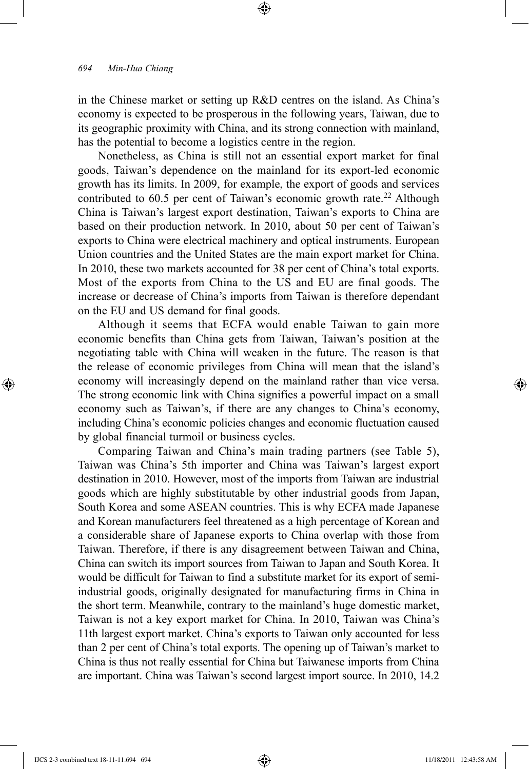in the Chinese market or setting up R&D centres on the island. As China's economy is expected to be prosperous in the following years, Taiwan, due to its geographic proximity with China, and its strong connection with mainland, has the potential to become a logistics centre in the region.

⊕

Nonetheless, as China is still not an essential export market for final goods, Taiwan's dependence on the mainland for its export-led economic growth has its limits. In 2009, for example, the export of goods and services contributed to  $60.5$  per cent of Taiwan's economic growth rate.<sup>22</sup> Although China is Taiwan's largest export destination, Taiwan's exports to China are based on their production network. In 2010, about 50 per cent of Taiwan's exports to China were electrical machinery and optical instruments. European Union countries and the United States are the main export market for China. In 2010, these two markets accounted for 38 per cent of China's total exports. Most of the exports from China to the US and EU are final goods. The increase or decrease of China's imports from Taiwan is therefore dependant on the EU and US demand for final goods.

Although it seems that ECFA would enable Taiwan to gain more economic benefits than China gets from Taiwan, Taiwan's position at the negotiating table with China will weaken in the future. The reason is that the release of economic privileges from China will mean that the island's economy will increasingly depend on the mainland rather than vice versa. The strong economic link with China signifies a powerful impact on a small economy such as Taiwan's, if there are any changes to China's economy, including China's economic policies changes and economic fluctuation caused by global financial turmoil or business cycles.

Comparing Taiwan and China's main trading partners (see Table 5), Taiwan was China's 5th importer and China was Taiwan's largest export destination in 2010. However, most of the imports from Taiwan are industrial goods which are highly substitutable by other industrial goods from Japan, South Korea and some ASEAN countries. This is why ECFA made Japanese and Korean manufacturers feel threatened as a high percentage of Korean and a considerable share of Japanese exports to China overlap with those from Taiwan. Therefore, if there is any disagreement between Taiwan and China, China can switch its import sources from Taiwan to Japan and South Korea. It would be difficult for Taiwan to find a substitute market for its export of semiindustrial goods, originally designated for manufacturing firms in China in the short term. Meanwhile, contrary to the mainland's huge domestic market, Taiwan is not a key export market for China. In 2010, Taiwan was China's 11th largest export market. China's exports to Taiwan only accounted for less than 2 per cent of China's total exports. The opening up of Taiwan's market to China is thus not really essential for China but Taiwanese imports from China are important. China was Taiwan's second largest import source. In 2010, 14.2

⊕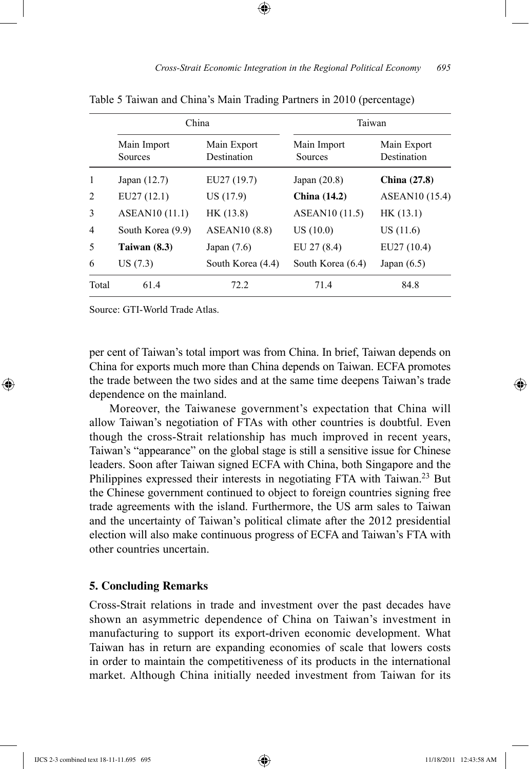|                |                        | China                      | Taiwan                     |                            |  |
|----------------|------------------------|----------------------------|----------------------------|----------------------------|--|
|                | Main Import<br>Sources | Main Export<br>Destination | Main Import<br>Sources     | Main Export<br>Destination |  |
| 1              | Japan $(12.7)$         | EU27 (19.7)                | Japan $(20.8)$             | <b>China</b> (27.8)        |  |
| $\overline{c}$ | EU27(12.1)             | US (17.9)                  | <b>China</b> (14.2)        | ASEAN <sub>10</sub> (15.4) |  |
| 3              | <b>ASEAN10</b> (11.1)  | HK (13.8)                  | ASEAN <sub>10</sub> (11.5) | HK(13.1)                   |  |
| 4              | South Korea (9.9)      | <b>ASEAN10 (8.8)</b>       | US(10.0)                   | US(11.6)                   |  |
| 5              | Taiwan $(8.3)$         | Japan $(7.6)$              | EU 27 (8.4)                | EU27 (10.4)                |  |
| 6              | US(7.3)                | South Korea (4.4)          | South Korea (6.4)          | Japan $(6.5)$              |  |
| Total          | 61.4                   | 72.2                       | 71.4                       | 84.8                       |  |

Table 5 Taiwan and China's Main Trading Partners in 2010 (percentage)

Source: GTI-World Trade Atlas.

⊕

per cent of Taiwan's total import was from China. In brief, Taiwan depends on China for exports much more than China depends on Taiwan. ECFA promotes the trade between the two sides and at the same time deepens Taiwan's trade dependence on the mainland.

Moreover, the Taiwanese government's expectation that China will allow Taiwan's negotiation of FTAs with other countries is doubtful. Even though the cross-Strait relationship has much improved in recent years, Taiwan's "appearance" on the global stage is still a sensitive issue for Chinese leaders. Soon after Taiwan signed ECFA with China, both Singapore and the Philippines expressed their interests in negotiating FTA with Taiwan.<sup>23</sup> But the Chinese government continued to object to foreign countries signing free trade agreements with the island. Furthermore, the US arm sales to Taiwan and the uncertainty of Taiwan's political climate after the 2012 presidential election will also make continuous progress of ECFA and Taiwan's FTA with other countries uncertain.

### **5. Concluding Remarks**

Cross-Strait relations in trade and investment over the past decades have shown an asymmetric dependence of China on Taiwan's investment in manufacturing to support its export-driven economic development. What Taiwan has in return are expanding economies of scale that lowers costs in order to maintain the competitiveness of its products in the international market. Although China initially needed investment from Taiwan for its

IJCS 2-3 combined text 18-11-11.695 695 11/18/2011 12:43:58 AM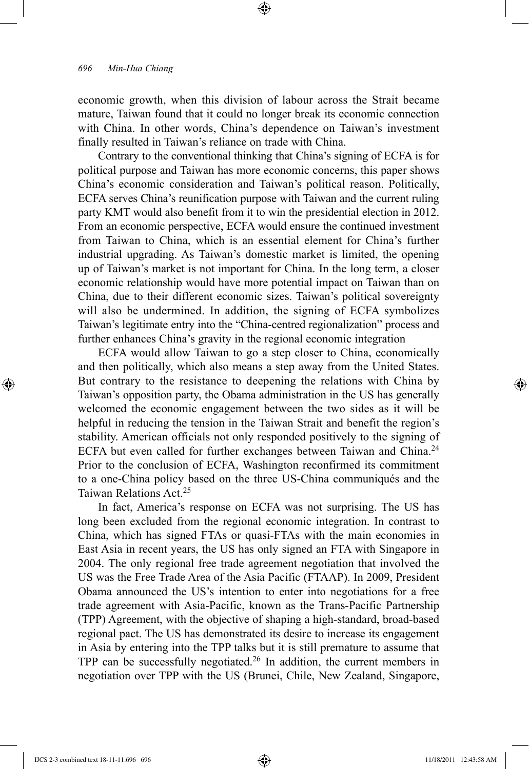economic growth, when this division of labour across the Strait became mature, Taiwan found that it could no longer break its economic connection with China. In other words, China's dependence on Taiwan's investment finally resulted in Taiwan's reliance on trade with China.

⊕

Contrary to the conventional thinking that China's signing of ECFA is for political purpose and Taiwan has more economic concerns, this paper shows China's economic consideration and Taiwan's political reason. Politically, ECFA serves China's reunification purpose with Taiwan and the current ruling party KMT would also benefit from it to win the presidential election in 2012. From an economic perspective, ECFA would ensure the continued investment from Taiwan to China, which is an essential element for China's further industrial upgrading. As Taiwan's domestic market is limited, the opening up of Taiwan's market is not important for China. In the long term, a closer economic relationship would have more potential impact on Taiwan than on China, due to their different economic sizes. Taiwan's political sovereignty will also be undermined. In addition, the signing of ECFA symbolizes Taiwan's legitimate entry into the "China-centred regionalization" process and further enhances China's gravity in the regional economic integration

ECFA would allow Taiwan to go a step closer to China, economically and then politically, which also means a step away from the United States. But contrary to the resistance to deepening the relations with China by Taiwan's opposition party, the Obama administration in the US has generally welcomed the economic engagement between the two sides as it will be helpful in reducing the tension in the Taiwan Strait and benefit the region's stability. American officials not only responded positively to the signing of ECFA but even called for further exchanges between Taiwan and China.<sup>24</sup> Prior to the conclusion of ECFA, Washington reconfirmed its commitment to a one-China policy based on the three US-China communiqués and the Taiwan Relations Act.25

In fact, America's response on ECFA was not surprising. The US has long been excluded from the regional economic integration. In contrast to China, which has signed FTAs or quasi-FTAs with the main economies in East Asia in recent years, the US has only signed an FTA with Singapore in 2004. The only regional free trade agreement negotiation that involved the US was the Free Trade Area of the Asia Pacific (FTAAP). In 2009, President Obama announced the US's intention to enter into negotiations for a free trade agreement with Asia-Pacific, known as the Trans-Pacific Partnership (TPP) Agreement, with the objective of shaping a high-standard, broad-based regional pact. The US has demonstrated its desire to increase its engagement in Asia by entering into the TPP talks but it is still premature to assume that TPP can be successfully negotiated.26 In addition, the current members in negotiation over TPP with the US (Brunei, Chile, New Zealand, Singapore,

⊕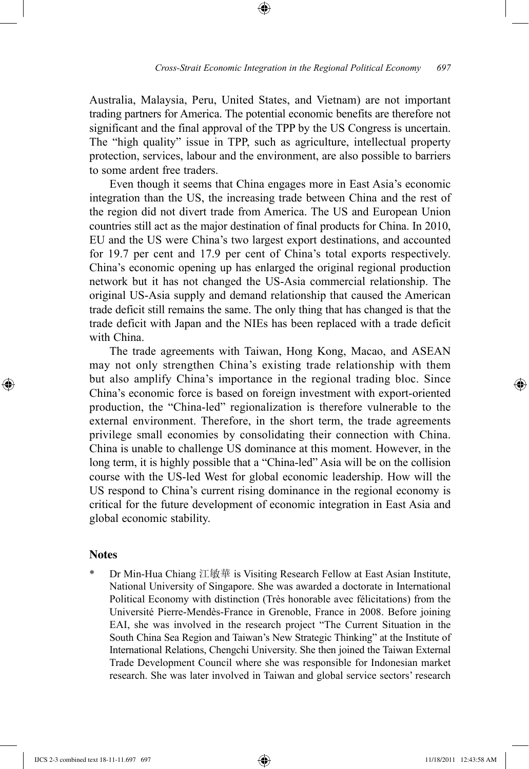Australia, Malaysia, Peru, United States, and Vietnam) are not important trading partners for America. The potential economic benefits are therefore not significant and the final approval of the TPP by the US Congress is uncertain. The "high quality" issue in TPP, such as agriculture, intellectual property protection, services, labour and the environment, are also possible to barriers to some ardent free traders.

⊕

Even though it seems that China engages more in East Asia's economic integration than the US, the increasing trade between China and the rest of the region did not divert trade from America. The US and European Union countries still act as the major destination of final products for China. In 2010, EU and the US were China's two largest export destinations, and accounted for 19.7 per cent and 17.9 per cent of China's total exports respectively. China's economic opening up has enlarged the original regional production network but it has not changed the US-Asia commercial relationship. The original US-Asia supply and demand relationship that caused the American trade deficit still remains the same. The only thing that has changed is that the trade deficit with Japan and the NIEs has been replaced with a trade deficit with China.

The trade agreements with Taiwan, Hong Kong, Macao, and ASEAN may not only strengthen China's existing trade relationship with them but also amplify China's importance in the regional trading bloc. Since China's economic force is based on foreign investment with export-oriented production, the "China-led" regionalization is therefore vulnerable to the external environment. Therefore, in the short term, the trade agreements privilege small economies by consolidating their connection with China. China is unable to challenge US dominance at this moment. However, in the long term, it is highly possible that a "China-led" Asia will be on the collision course with the US-led West for global economic leadership. How will the US respond to China's current rising dominance in the regional economy is critical for the future development of economic integration in East Asia and global economic stability.

#### **Notes**

⊕

Dr Min-Hua Chiang 江敏華 is Visiting Research Fellow at East Asian Institute, National University of Singapore. She was awarded a doctorate in International Political Economy with distinction (Très honorable avec félicitations) from the Université Pierre-Mendès-France in Grenoble, France in 2008. Before joining EAI, she was involved in the research project "The Current Situation in the South China Sea Region and Taiwan's New Strategic Thinking" at the Institute of International Relations, Chengchi University. She then joined the Taiwan External Trade Development Council where she was responsible for Indonesian market research. She was later involved in Taiwan and global service sectors' research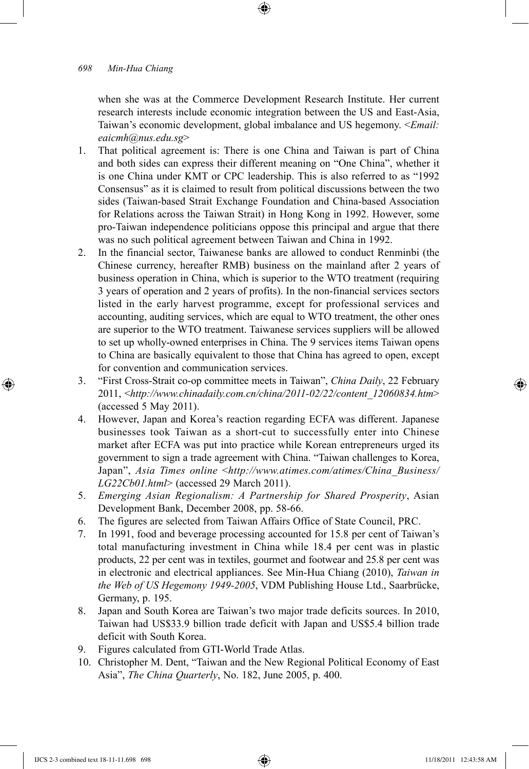when she was at the Commerce Development Research Institute. Her current research interests include economic integration between the US and East-Asia, Taiwan's economic development, global imbalance and US hegemony. <*Email: eaicmh@nus.edu.sg*>

- 1. That political agreement is: There is one China and Taiwan is part of China and both sides can express their different meaning on "One China", whether it is one China under KMT or CPC leadership. This is also referred to as "1992 Consensus" as it is claimed to result from political discussions between the two sides (Taiwan-based Strait Exchange Foundation and China-based Association for Relations across the Taiwan Strait) in Hong Kong in 1992. However, some pro-Taiwan independence politicians oppose this principal and argue that there was no such political agreement between Taiwan and China in 1992.
- 2. In the financial sector, Taiwanese banks are allowed to conduct Renminbi (the Chinese currency, hereafter RMB) business on the mainland after 2 years of business operation in China, which is superior to the WTO treatment (requiring 3 years of operation and 2 years of profits). In the non-financial services sectors listed in the early harvest programme, except for professional services and accounting, auditing services, which are equal to WTO treatment, the other ones are superior to the WTO treatment. Taiwanese services suppliers will be allowed to set up wholly-owned enterprises in China. The 9 services items Taiwan opens to China are basically equivalent to those that China has agreed to open, except for convention and communication services.
- 3. "First Cross-Strait co-op committee meets in Taiwan", *China Daily*, 22 February 2011, <*http://www.chinadaily.com.cn/china/2011-02/22/content\_12060834.htm*> (accessed 5 May 2011).
- 4. However, Japan and Korea's reaction regarding ECFA was different. Japanese businesses took Taiwan as a short-cut to successfully enter into Chinese market after ECFA was put into practice while Korean entrepreneurs urged its government to sign a trade agreement with China. "Taiwan challenges to Korea, Japan", *Asia Times online* <*http://www.atimes.com/atimes/China\_Business/ LG22Cb01.html*> (accessed 29 March 2011).
- 5. Emerging Asian Regionalism: A Partnership for Shared Prosperity, Asian Development Bank, December 2008, pp. 58-66.
- 6. The figures are selected from Taiwan Affairs Office of State Council, PRC.
- 7. In 1991, food and beverage processing accounted for 15.8 per cent of Taiwan's total manufacturing investment in China while 18.4 per cent was in plastic products, 22 per cent was in textiles, gourmet and footwear and 25.8 per cent was in electronic and electrical appliances. See Min-Hua Chiang (2010), *Taiwan in the Web of US Hegemony 1949-2005*, VDM Publishing House Ltd., Saarbrücke, Germany, p. 195.
- 8. Japan and South Korea are Taiwan's two major trade deficits sources. In 2010, Taiwan had US\$33.9 billion trade deficit with Japan and US\$5.4 billion trade deficit with South Korea.
- 9. Figures calculated from GTI-World Trade Atlas.
- 10. Christopher M. Dent, "Taiwan and the New Regional Political Economy of East Asia", *The China Quarterly*, No. 182, June 2005, p. 400.

⊕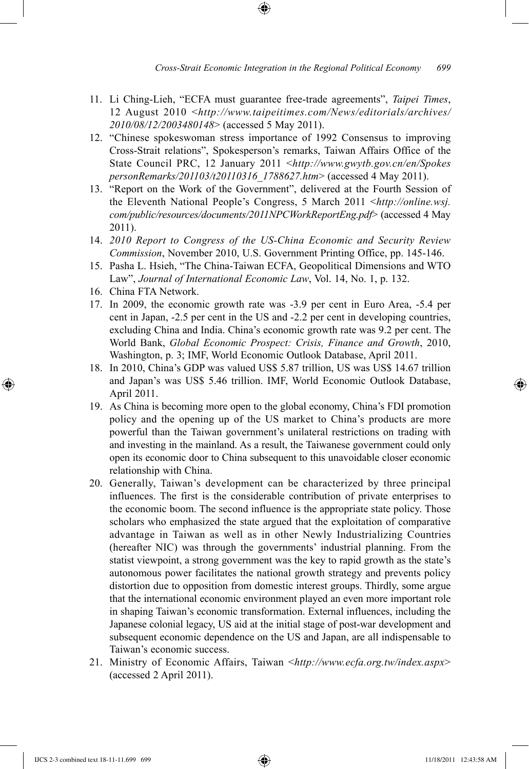- 11. Li Ching-Lieh, "ECFA must guarantee free-trade agreements", *Taipei Times*, 12 August 2010 <*http://www.taipeitimes.com/News/editorials/archives/ 2010/08/12/2003480148*> (accessed 5 May 2011).
- 12. "Chinese spokeswoman stress importance of 1992 Consensus to improving Cross-Strait relations", Spokesperson's remarks, Taiwan Affairs Office of the State Council PRC, 12 January 2011 <*http://www.gwytb.gov.cn/en/Spokes personRemarks/201103/t20110316\_1788627.htm*> (accessed 4 May 2011).
- 13. "Report on the Work of the Government", delivered at the Fourth Session of the Eleventh National People's Congress, 5 March 2011 <*http://online.wsj. com/public/resources/documents/2011NPCWorkReportEng.pdf*> (accessed 4 May 2011).
- 14. *2010 Report to Congress of the US-China Economic and Security Review Commission*, November 2010, U.S. Government Printing Office, pp. 145-146.
- 15. Pasha L. Hsieh, "The China-Taiwan ECFA, Geopolitical Dimensions and WTO Law", *Journal of International Economic Law*, Vol. 14, No. 1, p. 132.
- 16. China FTA Network.

- 17. In 2009, the economic growth rate was -3.9 per cent in Euro Area, -5.4 per cent in Japan, -2.5 per cent in the US and -2.2 per cent in developing countries, excluding China and India. China's economic growth rate was 9.2 per cent. The World Bank, *Global Economic Prospect: Crisis, Finance and Growth*, 2010, Washington, p. 3; IMF, World Economic Outlook Database, April 2011.
- 18. In 2010, China's GDP was valued US\$ 5.87 trillion, US was US\$ 14.67 trillion and Japan's was US\$ 5.46 trillion. IMF, World Economic Outlook Database, April 2011.
- 19. As China is becoming more open to the global economy, China's FDI promotion policy and the opening up of the US market to China's products are more powerful than the Taiwan government's unilateral restrictions on trading with and investing in the mainland. As a result, the Taiwanese government could only open its economic door to China subsequent to this unavoidable closer economic relationship with China.
- 20. Generally, Taiwan's development can be characterized by three principal influences. The first is the considerable contribution of private enterprises to the economic boom. The second influence is the appropriate state policy. Those scholars who emphasized the state argued that the exploitation of comparative advantage in Taiwan as well as in other Newly Industrializing Countries (hereafter NIC) was through the governments' industrial planning. From the statist viewpoint, a strong government was the key to rapid growth as the state's autonomous power facilitates the national growth strategy and prevents policy distortion due to opposition from domestic interest groups. Thirdly, some argue that the international economic environment played an even more important role in shaping Taiwan's economic transformation. External influences, including the Japanese colonial legacy, US aid at the initial stage of post-war development and subsequent economic dependence on the US and Japan, are all indispensable to Taiwan's economic success.
- 21. Ministry of Economic Affairs, Taiwan <*http://www.ecfa.org.tw/index.aspx*> (accessed 2 April 2011).

IJCS 2-3 combined text 18-11-11.699 699 11/18/2011 12:43:58 AM